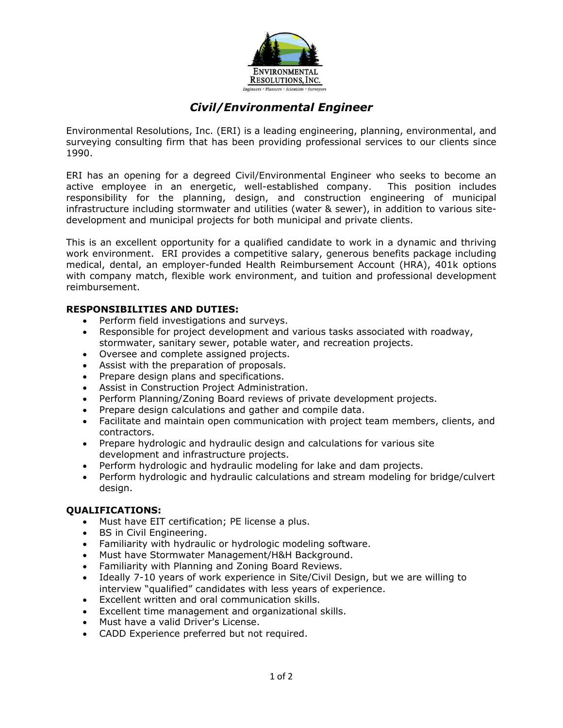

# *Civil/Environmental Engineer*

Environmental Resolutions, Inc. (ERI) is a leading engineering, planning, environmental, and surveying consulting firm that has been providing professional services to our clients since 1990.

ERI has an opening for a degreed Civil/Environmental Engineer who seeks to become an active employee in an energetic, well-established company. This position includes responsibility for the planning, design, and construction engineering of municipal infrastructure including stormwater and utilities (water & sewer), in addition to various sitedevelopment and municipal projects for both municipal and private clients.

This is an excellent opportunity for a qualified candidate to work in a dynamic and thriving work environment. ERI provides a competitive salary, generous benefits package including medical, dental, an employer-funded Health Reimbursement Account (HRA), 401k options with company match, flexible work environment, and tuition and professional development reimbursement.

#### **RESPONSIBILITIES AND DUTIES:**

- Perform field investigations and surveys.
- Responsible for project development and various tasks associated with roadway, stormwater, sanitary sewer, potable water, and recreation projects.
- Oversee and complete assigned projects.
- Assist with the preparation of proposals.
- Prepare design plans and specifications.
- Assist in Construction Project Administration.
- Perform Planning/Zoning Board reviews of private development projects.
- Prepare design calculations and gather and compile data.
- Facilitate and maintain open communication with project team members, clients, and contractors.
- Prepare hydrologic and hydraulic design and calculations for various site development and infrastructure projects.
- Perform hydrologic and hydraulic modeling for lake and dam projects.
- Perform hydrologic and hydraulic calculations and stream modeling for bridge/culvert design.

#### **QUALIFICATIONS:**

- Must have EIT certification; PE license a plus.
- BS in Civil Engineering.
- Familiarity with hydraulic or hydrologic modeling software.
- Must have Stormwater Management/H&H Background.
- Familiarity with Planning and Zoning Board Reviews.
- Ideally 7-10 years of work experience in Site/Civil Design, but we are willing to interview "qualified" candidates with less years of experience.
- Excellent written and oral communication skills.
- Excellent time management and organizational skills.
- Must have a valid Driver's License.
- CADD Experience preferred but not required.